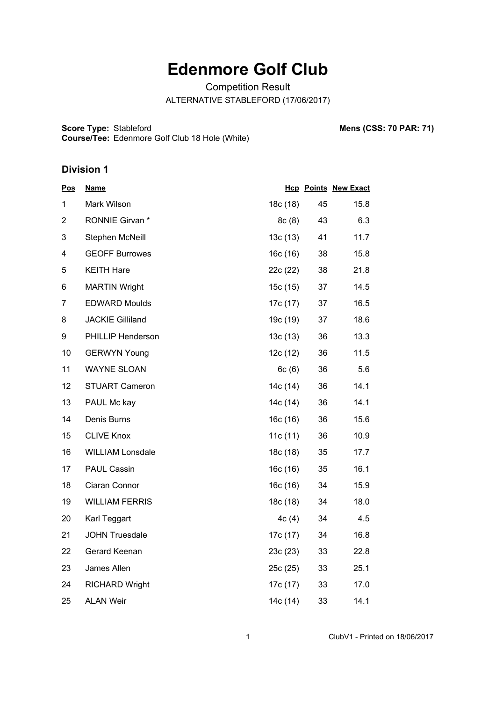## **Edenmore Golf Club**

Competition Result ALTERNATIVE STABLEFORD (17/06/2017)

**Score Type: Course/Tee:** Stableford **Mens (CSS: 70 PAR: 71)** Edenmore Golf Club 18 Hole (White)

## **Division 1**

| <u>Pos</u>     | <b>Name</b>              |          |    | <b>Hcp Points New Exact</b> |
|----------------|--------------------------|----------|----|-----------------------------|
| 1              | Mark Wilson              | 18c (18) | 45 | 15.8                        |
| $\overline{2}$ | RONNIE Girvan*           | 8c(8)    | 43 | 6.3                         |
| 3              | Stephen McNeill          | 13c(13)  | 41 | 11.7                        |
| 4              | <b>GEOFF Burrowes</b>    | 16c(16)  | 38 | 15.8                        |
| 5              | <b>KEITH Hare</b>        | 22c (22) | 38 | 21.8                        |
| 6              | <b>MARTIN Wright</b>     | 15c(15)  | 37 | 14.5                        |
| 7              | <b>EDWARD Moulds</b>     | 17c (17) | 37 | 16.5                        |
| 8              | <b>JACKIE Gilliland</b>  | 19c (19) | 37 | 18.6                        |
| 9              | <b>PHILLIP Henderson</b> | 13c(13)  | 36 | 13.3                        |
| 10             | <b>GERWYN Young</b>      | 12c(12)  | 36 | 11.5                        |
| 11             | <b>WAYNE SLOAN</b>       | 6c(6)    | 36 | 5.6                         |
| 12             | <b>STUART Cameron</b>    | 14c (14) | 36 | 14.1                        |
| 13             | PAUL Mc kay              | 14c (14) | 36 | 14.1                        |
| 14             | Denis Burns              | 16c(16)  | 36 | 15.6                        |
| 15             | <b>CLIVE Knox</b>        | 11c(11)  | 36 | 10.9                        |
| 16             | <b>WILLIAM Lonsdale</b>  | 18c (18) | 35 | 17.7                        |
| 17             | <b>PAUL Cassin</b>       | 16c(16)  | 35 | 16.1                        |
| 18             | Ciaran Connor            | 16c(16)  | 34 | 15.9                        |
| 19             | <b>WILLIAM FERRIS</b>    | 18c (18) | 34 | 18.0                        |
| 20             | Karl Teggart             | 4c(4)    | 34 | 4.5                         |
| 21             | <b>JOHN Truesdale</b>    | 17c (17) | 34 | 16.8                        |
| 22             | Gerard Keenan            | 23c(23)  | 33 | 22.8                        |
| 23             | James Allen              | 25c(25)  | 33 | 25.1                        |
| 24             | <b>RICHARD Wright</b>    | 17c (17) | 33 | 17.0                        |
| 25             | <b>ALAN Weir</b>         | 14c (14) | 33 | 14.1                        |

1 ClubV1 - Printed on 18/06/2017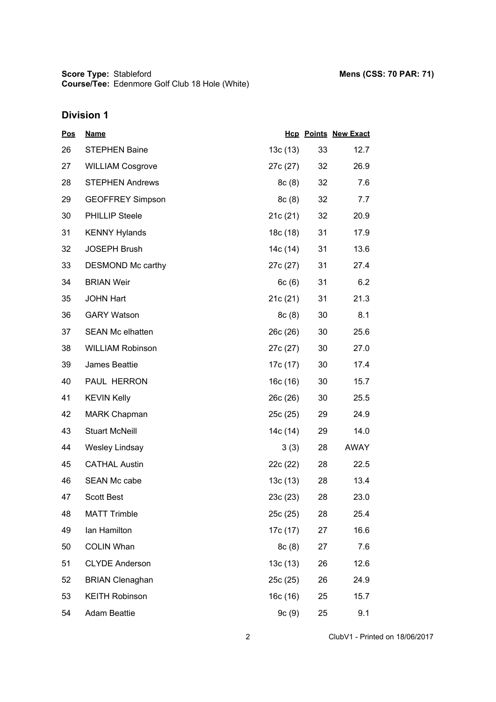**Score Type: Course/Tee:** Stableford **Mens (CSS: 70 PAR: 71)** Edenmore Golf Club 18 Hole (White)

## **Division 1**

| <u>Pos</u> | <u>Name</u>             |          |    | <b>Hcp Points New Exact</b> |
|------------|-------------------------|----------|----|-----------------------------|
| 26         | <b>STEPHEN Baine</b>    | 13c(13)  | 33 | 12.7                        |
| 27         | <b>WILLIAM Cosgrove</b> | 27c (27) | 32 | 26.9                        |
| 28         | <b>STEPHEN Andrews</b>  | 8c(8)    | 32 | 7.6                         |
| 29         | <b>GEOFFREY Simpson</b> | 8c(8)    | 32 | 7.7                         |
| 30         | <b>PHILLIP Steele</b>   | 21c(21)  | 32 | 20.9                        |
| 31         | <b>KENNY Hylands</b>    | 18c (18) | 31 | 17.9                        |
| 32         | <b>JOSEPH Brush</b>     | 14c (14) | 31 | 13.6                        |
| 33         | DESMOND Mc carthy       | 27c (27) | 31 | 27.4                        |
| 34         | <b>BRIAN Weir</b>       | 6c(6)    | 31 | 6.2                         |
| 35         | <b>JOHN Hart</b>        | 21c(21)  | 31 | 21.3                        |
| 36         | <b>GARY Watson</b>      | 8c(8)    | 30 | 8.1                         |
| 37         | <b>SEAN Mc elhatten</b> | 26c (26) | 30 | 25.6                        |
| 38         | <b>WILLIAM Robinson</b> | 27c (27) | 30 | 27.0                        |
| 39         | James Beattie           | 17c (17) | 30 | 17.4                        |
| 40         | PAUL HERRON             | 16c (16) | 30 | 15.7                        |
| 41         | <b>KEVIN Kelly</b>      | 26c(26)  | 30 | 25.5                        |
| 42         | <b>MARK Chapman</b>     | 25c (25) | 29 | 24.9                        |
| 43         | <b>Stuart McNeill</b>   | 14c (14) | 29 | 14.0                        |
| 44         | Wesley Lindsay          | 3(3)     | 28 | <b>AWAY</b>                 |
| 45         | <b>CATHAL Austin</b>    | 22c (22) | 28 | 22.5                        |
| 46         | <b>SEAN Mc cabe</b>     | 13c(13)  | 28 | 13.4                        |
| 47         | <b>Scott Best</b>       | 23c(23)  | 28 | 23.0                        |
| 48         | <b>MATT Trimble</b>     | 25c(25)  | 28 | 25.4                        |
| 49         | lan Hamilton            | 17c (17) | 27 | 16.6                        |
| 50         | <b>COLIN Whan</b>       | 8c(8)    | 27 | 7.6                         |
| 51         | <b>CLYDE Anderson</b>   | 13c(13)  | 26 | 12.6                        |
| 52         | <b>BRIAN Clenaghan</b>  | 25c (25) | 26 | 24.9                        |
| 53         | <b>KEITH Robinson</b>   | 16c(16)  | 25 | 15.7                        |
| 54         | <b>Adam Beattie</b>     | 9c(9)    | 25 | 9.1                         |